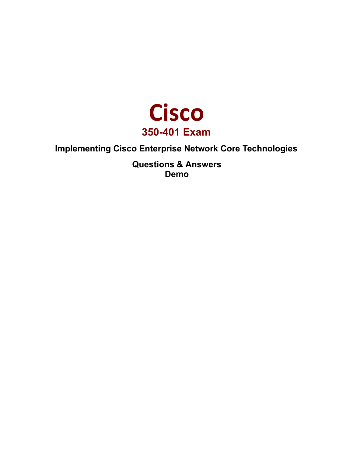

# **Implementing Cisco Enterprise Network Core Technologies**

**Questions & Answers Demo**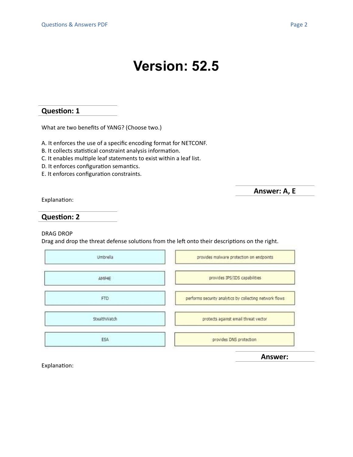# **Question: 1**

What are two benefits of YANG? (Choose two.)

A. It enforces the use of a specific encoding format for NETCONF.

B. It collects statistical constraint analysis information.

C. It enables multiple leaf statements to exist within a leaf list.

D. It enforces configuration semantics.

E. It enforces configuration constraints.

**Answer: A, E**

Explanation:

#### **Question: 2**

#### DRAG DROP

Drag and drop the threat defense solutions from the left onto their descriptions on the right.

| Umbrella     | provides malware protection on endpoints                 |
|--------------|----------------------------------------------------------|
| AMP4E        | provides IPS/IDS capabilities                            |
| FTD          | performs security analytics by collecting network flows. |
| StealthWatch | protects against email threat vector                     |
| ESA          | provides DNS protection                                  |

**Answer:**

Explanation: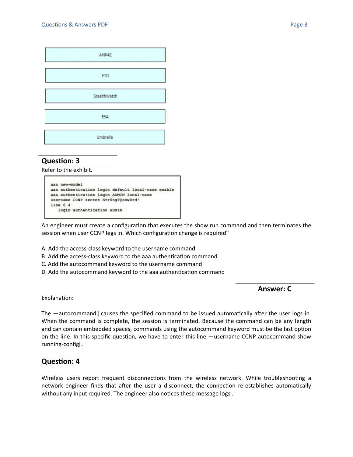| AMP4E        |  |
|--------------|--|
| <b>FTD</b>   |  |
| StealthWatch |  |
| ESA          |  |
| Umbrella     |  |

# **Question: 3**

Refer to the exhibit.

```
aaa new-model
aaa authentication login default local-case enable
asa authentication login ADMIN local-case
username CCNP secret StrOngP@ssw0rd!
line 0 4
   login authentication ADMIN
```
An engineer must create a configuration that executes the show run command and then terminates the session when user CCNP legs in. Which configuration change is required''

- A. Add the access-class keyword to the username command
- B. Add the access-class keyword to the aaa authentication command
- C. Add the autocommand keyword to the username command
- D. Add the autocommand keyword to the aaa authentication command

**Answer: C**

Explanation:

The ―autocommand‖ causes the specified command to be issued automatically after the user logs in. When the command is complete, the session is terminated. Because the command can be any length and can contain embedded spaces, commands using the autocommand keyword must be the last option on the line. In this specific question, we have to enter this line ―username CCNP autocommand show running-config‖.

### **Question: 4**

Wireless users report frequent disconnections from the wireless network. While troubleshooting a network engineer finds that after the user a disconnect, the connection re-establishes automatically without any input required. The engineer also notices these message logs .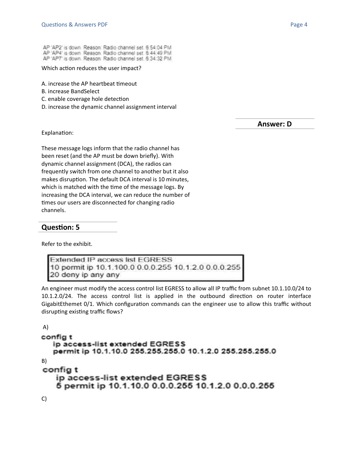AP 'AP2' is down. Reason: Radio channel set. 6:54:04 PM AP 'AP4' is down Reason: Radio channel set. 6.44.49 PM AP 'AP7' is down. Reason. Radio channel set. 6:34:32 PM

Which action reduces the user impact?

- A. increase the AP heartbeat timeout
- B. increase BandSelect
- C. enable coverage hole detection
- D. increase the dynamic channel assignment interval

**Answer: D**

Explanation:

These message logs inform that the radio channel has been reset (and the AP must be down briefly). With dynamic channel assignment (DCA), the radios can frequently switch from one channel to another but it also makes disruption. The default DCA interval is 10 minutes, which is matched with the time of the message logs. By increasing the DCA interval, we can reduce the number of times our users are disconnected for changing radio channels.

# **Question: 5**

Refer to the exhibit.

```
Extended IP access list EGRESS
10 permit ip 10.1.100.0 0.0.0.255 10.1.2.0 0.0.0.255
20 deny ip any any
```
An engineer must modify the access control list EGRESS to allow all IP traffic from subnet 10.1.10.0/24 to 10.1.2.0/24. The access control list is applied in the outbound direction on router interface GigabitEthemet 0/1. Which configuration commands can the engineer use to allow this traffic without disrupting existing traffic flows?

```
A)
config t
  ip access-list extended EGRESS
  permit ip 10.1.10.0 255.255.255.0 10.1.2.0 255.255.255.0
B)
config t
   ip access-list extended EGRESS
   6 permit ip 10.1.10.0 0.0.0.255 10.1.2.0 0.0.0.255
```
C)